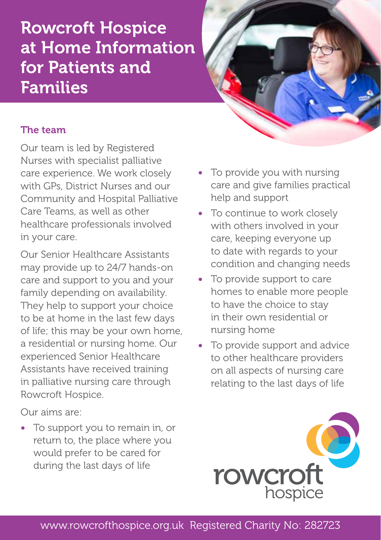## Rowcroft Hospice at Home Information for Patients and Families



## The team

Our team is led by Registered Nurses with specialist palliative care experience. We work closely with GPs, District Nurses and our Community and Hospital Palliative Care Teams, as well as other healthcare professionals involved in your care.

Our Senior Healthcare Assistants may provide up to 24/7 hands-on care and support to you and your family depending on availability. They help to support your choice to be at home in the last few days of life; this may be your own home, a residential or nursing home. Our experienced Senior Healthcare Assistants have received training in palliative nursing care through Rowcroft Hospice.

Our aims are:

• To support you to remain in, or return to, the place where you would prefer to be cared for during the last days of life

- To provide you with nursing care and give families practical help and support
- To continue to work closely with others involved in your care, keeping everyone up to date with regards to your condition and changing needs
- To provide support to care homes to enable more people to have the choice to stay in their own residential or nursing home
- To provide support and advice to other healthcare providers on all aspects of nursing care relating to the last days of life